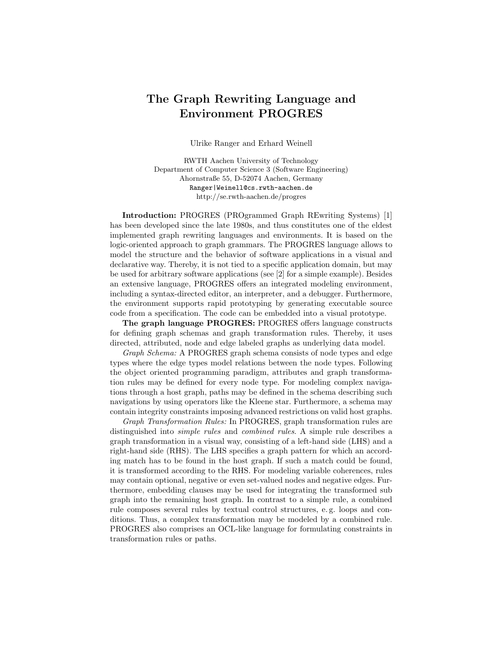## The Graph Rewriting Language and Environment PROGRES

Ulrike Ranger and Erhard Weinell

RWTH Aachen University of Technology Department of Computer Science 3 (Software Engineering) Ahornstraße 55, D-52074 Aachen, Germany Ranger|Weinell@cs.rwth-aachen.de http://se.rwth-aachen.de/progres

Introduction: PROGRES (PROgrammed Graph REwriting Systems) [1] has been developed since the late 1980s, and thus constitutes one of the eldest implemented graph rewriting languages and environments. It is based on the logic-oriented approach to graph grammars. The PROGRES language allows to model the structure and the behavior of software applications in a visual and declarative way. Thereby, it is not tied to a specific application domain, but may be used for arbitrary software applications (see [2] for a simple example). Besides an extensive language, PROGRES offers an integrated modeling environment, including a syntax-directed editor, an interpreter, and a debugger. Furthermore, the environment supports rapid prototyping by generating executable source code from a specification. The code can be embedded into a visual prototype.

The graph language PROGRES: PROGRES offers language constructs for defining graph schemas and graph transformation rules. Thereby, it uses directed, attributed, node and edge labeled graphs as underlying data model.

Graph Schema: A PROGRES graph schema consists of node types and edge types where the edge types model relations between the node types. Following the object oriented programming paradigm, attributes and graph transformation rules may be defined for every node type. For modeling complex navigations through a host graph, paths may be defined in the schema describing such navigations by using operators like the Kleene star. Furthermore, a schema may contain integrity constraints imposing advanced restrictions on valid host graphs.

Graph Transformation Rules: In PROGRES, graph transformation rules are distinguished into simple rules and combined rules. A simple rule describes a graph transformation in a visual way, consisting of a left-hand side (LHS) and a right-hand side (RHS). The LHS specifies a graph pattern for which an according match has to be found in the host graph. If such a match could be found, it is transformed according to the RHS. For modeling variable coherences, rules may contain optional, negative or even set-valued nodes and negative edges. Furthermore, embedding clauses may be used for integrating the transformed sub graph into the remaining host graph. In contrast to a simple rule, a combined rule composes several rules by textual control structures, e. g. loops and conditions. Thus, a complex transformation may be modeled by a combined rule. PROGRES also comprises an OCL-like language for formulating constraints in transformation rules or paths.